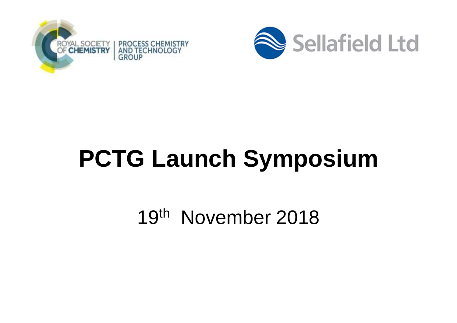



# **PCTG Launch Symposium**

19<sup>th</sup> November 2018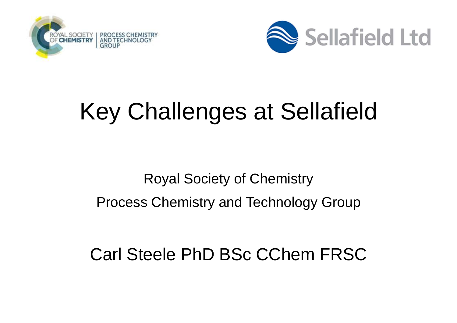



### Key Challenges at Sellafield

#### Royal Society of ChemistryProcess Chemistry and Technology Group

#### Carl Steele PhD BSc CChem FRSC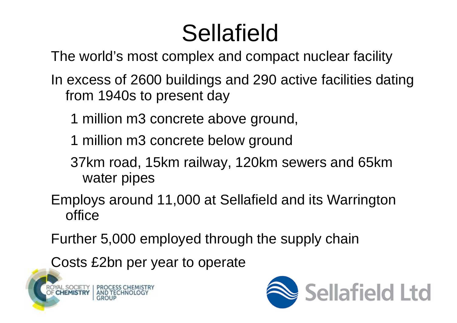## Sellafield

The world's most complex and compact nuclear facility

- In excess of 2600 buildings and 290 active facilities dating from 1940s to present day
	- 1 million m3 concrete above ground,
	- 1 million m3 concrete below ground
	- 37km road, 15km railway, 120km sewers and 65km water pipes
- Employs around 11,000 at Sellafield and its Warrington office

Further 5,000 employed through the supply chain

Costs £2bn per year to operate



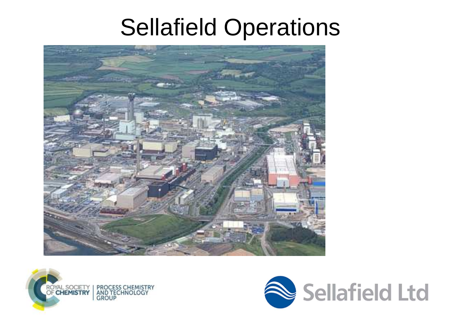#### Sellafield Operations





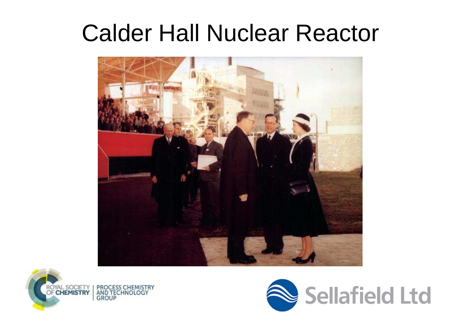#### Calder Hall Nuclear Reactor





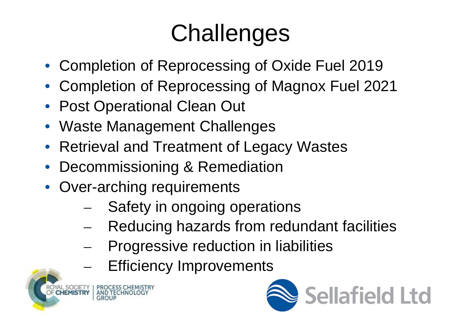# **Challenges**

- Completion of Reprocessing of Oxide Fuel 2019
- Completion of Reprocessing of Magnox Fuel 2021
- Post Operational Clean Out
- Waste Management Challenges
- Retrieval and Treatment of Legacy Wastes
- •Decommissioning & Remediation
- Over-arching requirements
	- Safety in ongoing operations –
	- Reducing hazards from redundant facilities
	- – Progressive reduction in liabilities
		- Efficiency Improvements



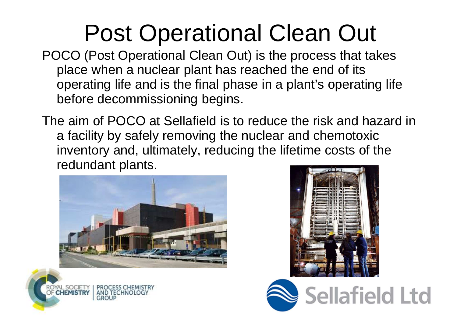## Post Operational Clean Out

- POCO (Post Operational Clean Out) is the process that takes place when a nuclear plant has reached the end of its operating life and is the final phase in a plant's operating life before decommissioning begins.
- The aim of POCO at Sellafield is to reduce the risk and hazard in a facility by safely removing the nuclear and chemotoxic inventory and, ultimately, reducing the lifetime costs of the redundant plants.







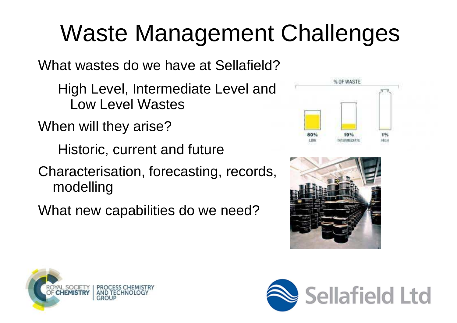# Waste Management Challenges

What wastes do we have at Sellafield?

High Level, Intermediate Level and Low Level Wastes

When will they arise?

Historic, current and future

Characterisation, forecasting, records, modelling

What new capabilities do we need?







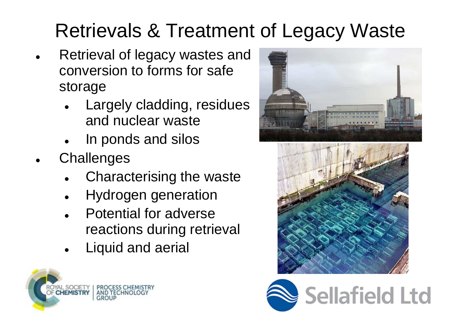#### Retrievals & Treatment of Legacy Waste

- Retrieval of legacy wastes and conversion to forms for safe storage
	- Largely cladding, residues  $\bullet$ and nuclear waste
	- In ponds and silos  $\bullet$
- $\bullet$ **Challenges** 
	- $\bullet$ Characterising the waste
	- $\bullet$ Hydrogen generation
	- Potential for adverse  $\bullet$ reactions during retrieval
	- $\bullet$ Liquid and aerial







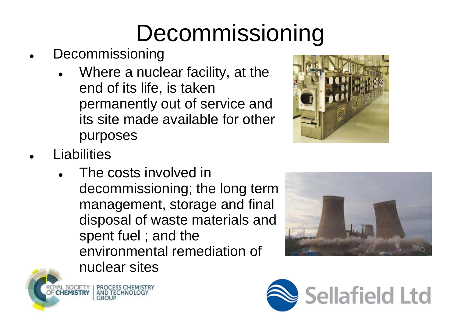# Decommissioning

- $\bullet$  Decommissioning
	- Where a nuclear facility, at the  $\bullet$ end of its life, is taken permanently out of service and its site made available for other purposes



 $\bullet$ **Liabilities** 

SOCIETY

**PROCESS CHEMISTRY** 

AND TECHNOLOG

● The costs involved in decommissioning; the long term management, storage and final disposal of waste materials and spent fuel ; and the environmental remediation of nuclear sites



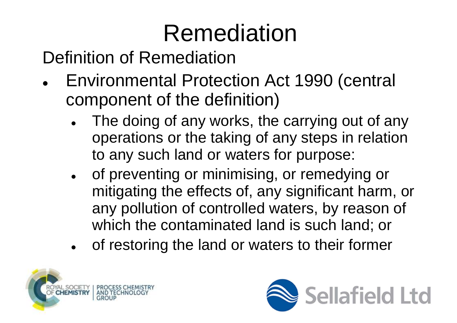# Remediation

Definition of Remediation

- Environmental Protection Act 1990 (central 0 component of the definition)
	- 0 The doing of any works, the carrying out of any operations or the taking of any steps in relation to any such land or waters for purpose:
	- 0 of preventing or minimising, or remedying or mitigating the effects of, any significant harm, orany pollution of controlled waters, by reason of which the contaminated land is such land; or
	- 0 of restoring the land or waters to their former



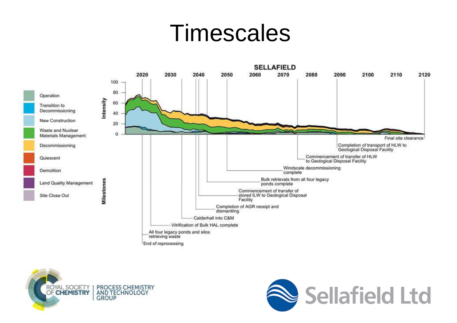#### Timescales





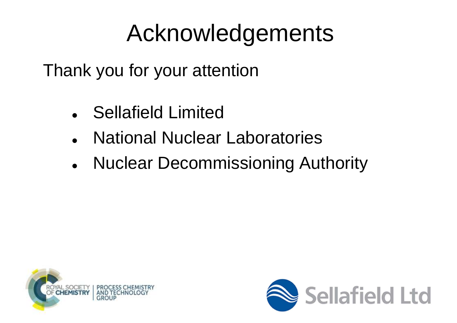## Acknowledgements

Thank you for your attention

- $\bullet$ Sellafield Limited
- National Nuclear Laboratories
- $\bullet$ Nuclear Decommissioning Authority